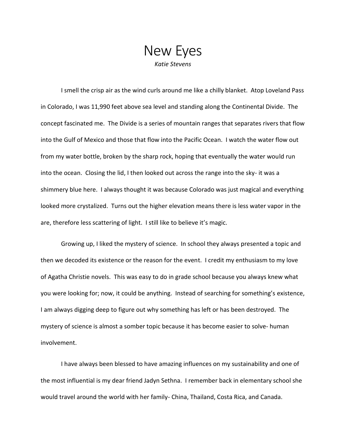## New Eyes *Katie Stevens*

I smell the crisp air as the wind curls around me like a chilly blanket. Atop Loveland Pass in Colorado, I was 11,990 feet above sea level and standing along the Continental Divide. The concept fascinated me. The Divide is a series of mountain ranges that separates rivers that flow into the Gulf of Mexico and those that flow into the Pacific Ocean. I watch the water flow out from my water bottle, broken by the sharp rock, hoping that eventually the water would run into the ocean. Closing the lid, I then looked out across the range into the sky- it was a shimmery blue here. I always thought it was because Colorado was just magical and everything looked more crystalized. Turns out the higher elevation means there is less water vapor in the are, therefore less scattering of light. I still like to believe it's magic.

Growing up, I liked the mystery of science. In school they always presented a topic and then we decoded its existence or the reason for the event. I credit my enthusiasm to my love of Agatha Christie novels. This was easy to do in grade school because you always knew what you were looking for; now, it could be anything. Instead of searching for something's existence, I am always digging deep to figure out why something has left or has been destroyed. The mystery of science is almost a somber topic because it has become easier to solve- human involvement.

I have always been blessed to have amazing influences on my sustainability and one of the most influential is my dear friend Jadyn Sethna. I remember back in elementary school she would travel around the world with her family- China, Thailand, Costa Rica, and Canada.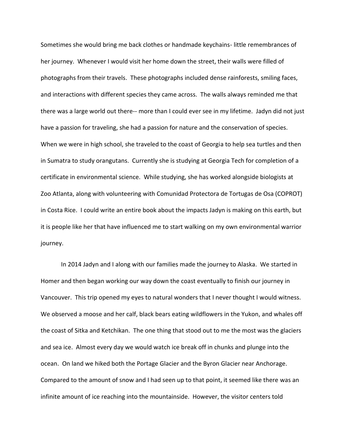Sometimes she would bring me back clothes or handmade keychains- little remembrances of her journey. Whenever I would visit her home down the street, their walls were filled of photographs from their travels. These photographs included dense rainforests, smiling faces, and interactions with different species they came across. The walls always reminded me that there was a large world out there-- more than I could ever see in my lifetime. Jadyn did not just have a passion for traveling, she had a passion for nature and the conservation of species. When we were in high school, she traveled to the coast of Georgia to help sea turtles and then in Sumatra to study orangutans. Currently she is studying at Georgia Tech for completion of a certificate in environmental science. While studying, she has worked alongside biologists at Zoo Atlanta, along with volunteering with Comunidad Protectora de Tortugas de Osa (COPROT) in Costa Rice. I could write an entire book about the impacts Jadyn is making on this earth, but it is people like her that have influenced me to start walking on my own environmental warrior journey.

In 2014 Jadyn and I along with our families made the journey to Alaska. We started in Homer and then began working our way down the coast eventually to finish our journey in Vancouver. This trip opened my eyes to natural wonders that I never thought I would witness. We observed a moose and her calf, black bears eating wildflowers in the Yukon, and whales off the coast of Sitka and Ketchikan. The one thing that stood out to me the most was the glaciers and sea ice. Almost every day we would watch ice break off in chunks and plunge into the ocean. On land we hiked both the Portage Glacier and the Byron Glacier near Anchorage. Compared to the amount of snow and I had seen up to that point, it seemed like there was an infinite amount of ice reaching into the mountainside. However, the visitor centers told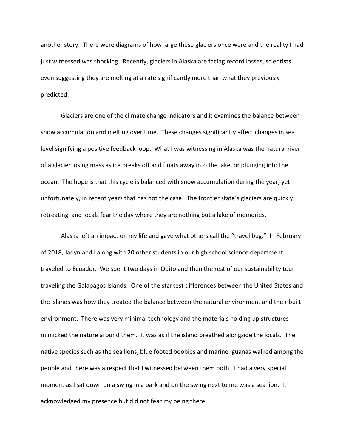another story. There were diagrams of how large these glaciers once were and the reality I had just witnessed was shocking. Recently, glaciers in Alaska are facing record losses, scientists even suggesting they are melting at a rate significantly more than what they previously predicted.

Glaciers are one of the climate change indicators and it examines the balance between snow accumulation and melting over time. These changes significantly affect changes in sea level signifying a positive feedback loop. What I was witnessing in Alaska was the natural river of a glacier losing mass as ice breaks off and floats away into the lake, or plunging into the ocean. The hope is that this cycle is balanced with snow accumulation during the year, yet unfortunately, in recent years that has not the case. The frontier state's glaciers are quickly retreating, and locals fear the day where they are nothing but a lake of memories.

Alaska left an impact on my life and gave what others call the "travel bug." In February of 2018, Jadyn and I along with 20 other students in our high school science department traveled to Ecuador. We spent two days in Quito and then the rest of our sustainability tour traveling the Galapagos Islands. One of the starkest differences between the United States and the islands was how they treated the balance between the natural environment and their built environment. There was very minimal technology and the materials holding up structures mimicked the nature around them. It was as if the island breathed alongside the locals. The native species such as the sea lions, blue footed boobies and marine iguanas walked among the people and there was a respect that I witnessed between them both. I had a very special moment as I sat down on a swing in a park and on the swing next to me was a sea lion. It acknowledged my presence but did not fear my being there.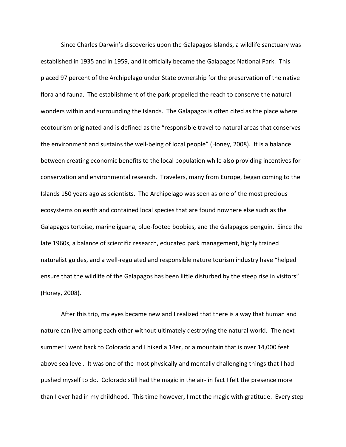Since Charles Darwin's discoveries upon the Galapagos Islands, a wildlife sanctuary was established in 1935 and in 1959, and it officially became the Galapagos National Park. This placed 97 percent of the Archipelago under State ownership for the preservation of the native flora and fauna. The establishment of the park propelled the reach to conserve the natural wonders within and surrounding the Islands. The Galapagos is often cited as the place where ecotourism originated and is defined as the "responsible travel to natural areas that conserves the environment and sustains the well-being of local people" (Honey, 2008). It is a balance between creating economic benefits to the local population while also providing incentives for conservation and environmental research. Travelers, many from Europe, began coming to the Islands 150 years ago as scientists. The Archipelago was seen as one of the most precious ecosystems on earth and contained local species that are found nowhere else such as the Galapagos tortoise, marine iguana, blue-footed boobies, and the Galapagos penguin. Since the late 1960s, a balance of scientific research, educated park management, highly trained naturalist guides, and a well-regulated and responsible nature tourism industry have "helped ensure that the wildlife of the Galapagos has been little disturbed by the steep rise in visitors" (Honey, 2008).

After this trip, my eyes became new and I realized that there is a way that human and nature can live among each other without ultimately destroying the natural world. The next summer I went back to Colorado and I hiked a 14er, or a mountain that is over 14,000 feet above sea level. It was one of the most physically and mentally challenging things that I had pushed myself to do. Colorado still had the magic in the air- in fact I felt the presence more than I ever had in my childhood. This time however, I met the magic with gratitude. Every step